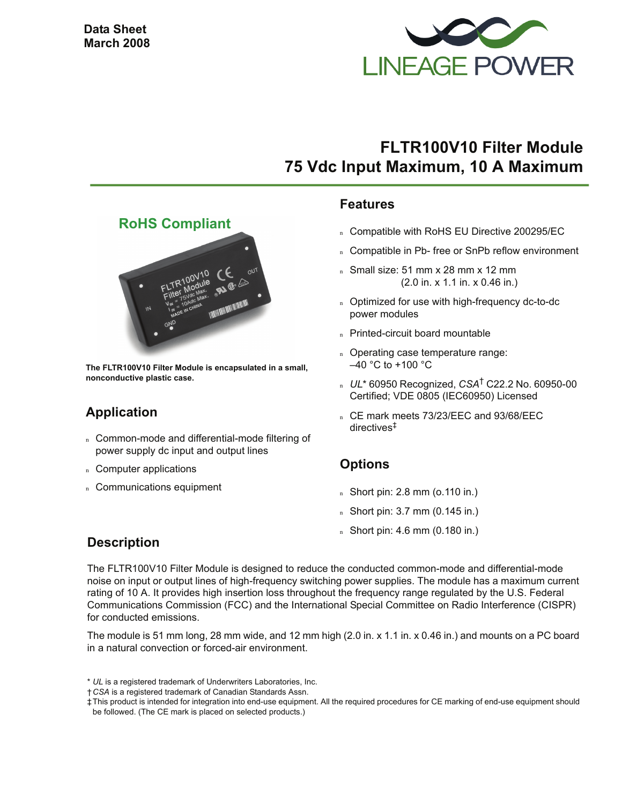

# **FLTR100V10 Filter Module 75 Vdc Input Maximum, 10 A Maximum**

#### **Features**

- n Compatible with RoHS EU Directive 200295/EC
- n Compatible in Pb- free or SnPb reflow environment
- n Small size: 51 mm x 28 mm x 12 mm (2.0 in. x 1.1 in. x 0.46 in.)
- n Optimized for use with high-frequency dc-to-dc power modules
- n Printed-circuit board mountable
- n Operating case temperature range:  $-40$  °C to +100 °C
- <sup>n</sup> *UL*\* 60950 Recognized, *CSA*† C22.2 No. 60950-00 Certified; VDE 0805 (IEC60950) Licensed
- n CE mark meets 73/23/EEC and 93/68/EEC directives‡

## **Options**

- $n$  Short pin: 2.8 mm (o.110 in.)
- <sup>n</sup> Short pin: 3.7 mm (0.145 in.)
- <sup>n</sup> Short pin: 4.6 mm (0.180 in.)

#### **RoHS Compliant**



**The FLTR100V10 Filter Module is encapsulated in a small, nonconductive plastic case.**

## **Application**

- n Common-mode and differential-mode filtering of power supply dc input and output lines
- n Computer applications
- n Communications equipment

## **Description**

The FLTR100V10 Filter Module is designed to reduce the conducted common-mode and differential-mode noise on input or output lines of high-frequency switching power supplies. The module has a maximum current rating of 10 A. It provides high insertion loss throughout the frequency range regulated by the U.S. Federal Communications Commission (FCC) and the International Special Committee on Radio Interference (CISPR) for conducted emissions.

The module is 51 mm long, 28 mm wide, and 12 mm high (2.0 in. x 1.1 in. x 0.46 in.) and mounts on a PC board in a natural convection or forced-air environment.

<sup>\*</sup> *UL* is a registered trademark of Underwriters Laboratories, Inc.

<sup>†</sup>*CSA* is a registered trademark of Canadian Standards Assn.

<sup>‡</sup>This product is intended for integration into end-use equipment. All the required procedures for CE marking of end-use equipment should be followed. (The CE mark is placed on selected products.)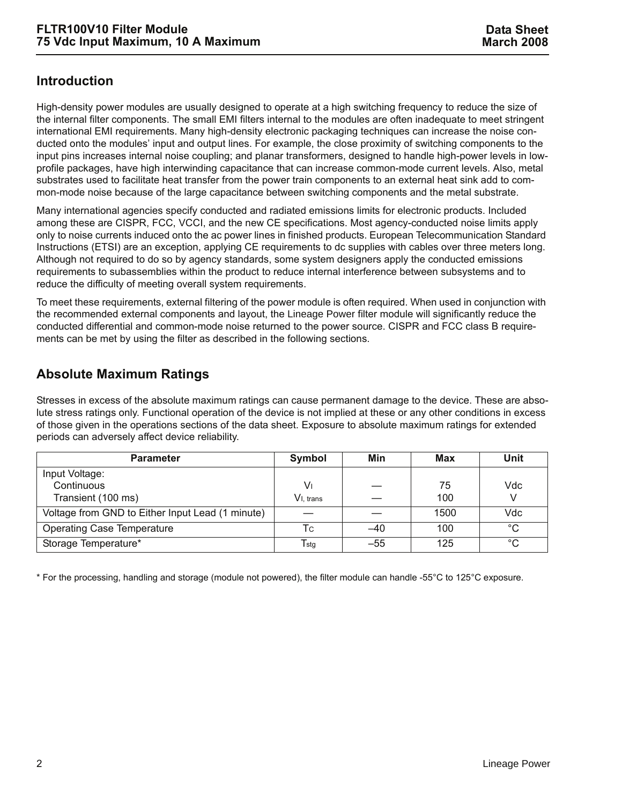### **Introduction**

High-density power modules are usually designed to operate at a high switching frequency to reduce the size of the internal filter components. The small EMI filters internal to the modules are often inadequate to meet stringent international EMI requirements. Many high-density electronic packaging techniques can increase the noise conducted onto the modules' input and output lines. For example, the close proximity of switching components to the input pins increases internal noise coupling; and planar transformers, designed to handle high-power levels in lowprofile packages, have high interwinding capacitance that can increase common-mode current levels. Also, metal substrates used to facilitate heat transfer from the power train components to an external heat sink add to common-mode noise because of the large capacitance between switching components and the metal substrate.

Many international agencies specify conducted and radiated emissions limits for electronic products. Included among these are CISPR, FCC, VCCI, and the new CE specifications. Most agency-conducted noise limits apply only to noise currents induced onto the ac power lines in finished products. European Telecommunication Standard Instructions (ETSI) are an exception, applying CE requirements to dc supplies with cables over three meters long. Although not required to do so by agency standards, some system designers apply the conducted emissions requirements to subassemblies within the product to reduce internal interference between subsystems and to reduce the difficulty of meeting overall system requirements.

To meet these requirements, external filtering of the power module is often required. When used in conjunction with the recommended external components and layout, the Lineage Power filter module will significantly reduce the conducted differential and common-mode noise returned to the power source. CISPR and FCC class B requirements can be met by using the filter as described in the following sections.

## **Absolute Maximum Ratings**

Stresses in excess of the absolute maximum ratings can cause permanent damage to the device. These are absolute stress ratings only. Functional operation of the device is not implied at these or any other conditions in excess of those given in the operations sections of the data sheet. Exposure to absolute maximum ratings for extended periods can adversely affect device reliability.

| <b>Parameter</b>                                 | Symbol                    | Min   | Max  | Unit         |
|--------------------------------------------------|---------------------------|-------|------|--------------|
| Input Voltage:                                   |                           |       |      |              |
| Continuous                                       | V۱                        |       | 75   | Vdc          |
| Transient (100 ms)                               | V <sub>I</sub> trans      |       | 100  | V            |
| Voltage from GND to Either Input Lead (1 minute) |                           |       | 1500 | Vdc          |
| <b>Operating Case Temperature</b>                | Tc                        | $-40$ | 100  | $^{\circ}$ C |
| Storage Temperature*                             | $\mathsf{T}_{\text{stg}}$ | $-55$ | 125  | $^{\circ}C$  |

\* For the processing, handling and storage (module not powered), the filter module can handle -55°C to 125°C exposure.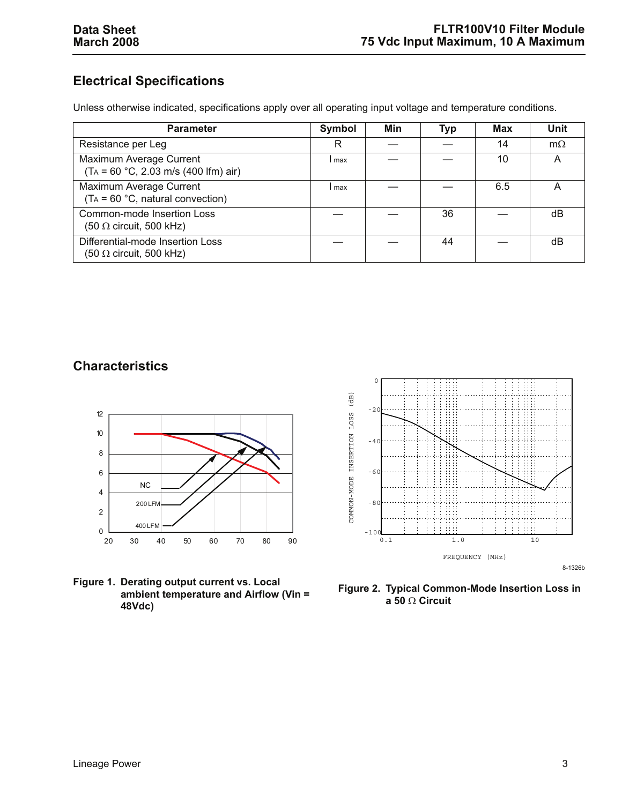## **Electrical Specifications**

Unless otherwise indicated, specifications apply over all operating input voltage and temperature conditions.

| <b>Parameter</b>                                                                   | Symbol | Min | Typ | Max | <b>Unit</b> |
|------------------------------------------------------------------------------------|--------|-----|-----|-----|-------------|
| Resistance per Leg                                                                 | R      |     |     | 14  | $m\Omega$   |
| Maximum Average Current<br>$(T_A = 60 °C, 2.03 m/s (400 lfm) air)$                 | max    |     |     | 10  | А           |
| Maximum Average Current<br>$(T_A = 60 °C,$ natural convection)                     | max    |     |     | 6.5 | Α           |
| Common-mode Insertion Loss<br>$(50 \Omega \text{ circuit}, 500 \text{ kHz})$       |        |     | 36  |     | dB          |
| Differential-mode Insertion Loss<br>$(50 \Omega \text{ circuit}, 500 \text{ kHz})$ |        |     | 44  |     | dB          |

### **Characteristics**



**Figure 1. Derating output current vs. Local ambient temperature and Airflow (Vin = 48Vdc)**



**Figure 2. Typical Common-Mode Insertion Loss in a 50** Ω **Circuit**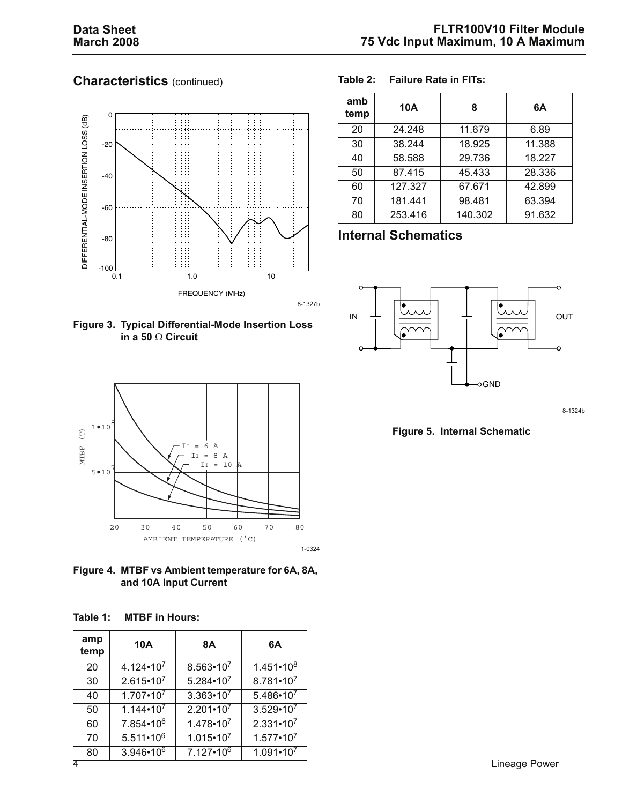## **Characteristics** (continued)



#### **Table 2: Failure Rate in FITs:**

| amb<br>temp | 10A     | 8       | 6A     |
|-------------|---------|---------|--------|
| 20          | 24.248  | 11.679  | 6.89   |
| 30          | 38.244  | 18.925  | 11.388 |
| 40          | 58.588  | 29.736  | 18.227 |
| 50          | 87.415  | 45.433  | 28.336 |
| 60          | 127.327 | 67.671  | 42.899 |
| 70          | 181.441 | 98.481  | 63.394 |
| 80          | 253.416 | 140.302 | 91.632 |

### **Internal Schematics**





**Figure 4. MTBF vs Ambient temperature for 6A, 8A, and 10A Input Current**

| Table 1: | <b>MTBF</b> in Hours: |
|----------|-----------------------|
|----------|-----------------------|

| amp<br>temp | 10A                  | 8Α                   | 6A                   |
|-------------|----------------------|----------------------|----------------------|
| 20          | $4.124 \cdot 10^{7}$ | $8.563 \cdot 10^{7}$ | $1.451 \cdot 10^{8}$ |
| 30          | $2.615 \cdot 10^{7}$ | $5.284 \cdot 10^{7}$ | $8.781 - 10^{7}$     |
| 40          | $1.707 \cdot 10^{7}$ | $3.363 \cdot 10^{7}$ | $5.486 \cdot 10^{7}$ |
| 50          | $1.144 \cdot 10^{7}$ | $2.201 \cdot 10^{7}$ | $3.529 \cdot 10^{7}$ |
| 60          | 7.854 • 106          | $1.478 \cdot 10^{7}$ | $2.331 \cdot 10^{7}$ |
| 70          | $5.511 \cdot 10^{6}$ | $1.015 \cdot 10^{7}$ | $1.577 \cdot 10^{7}$ |
| 80          | $3.946 \cdot 10^6$   | $7.127 \cdot 10^6$   | $1.091 - 10^{7}$     |
|             |                      |                      |                      |



8-1324b

**Figure 5. Internal Schematic**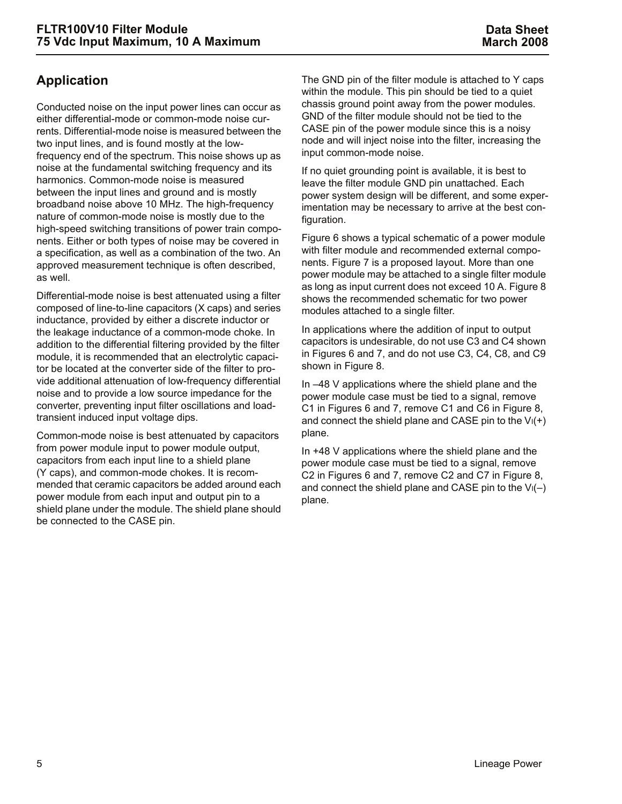## **Application**

Conducted noise on the input power lines can occur as either differential-mode or common-mode noise currents. Differential-mode noise is measured between the two input lines, and is found mostly at the lowfrequency end of the spectrum. This noise shows up as noise at the fundamental switching frequency and its harmonics. Common-mode noise is measured between the input lines and ground and is mostly broadband noise above 10 MHz. The high-frequency nature of common-mode noise is mostly due to the high-speed switching transitions of power train components. Either or both types of noise may be covered in a specification, as well as a combination of the two. An approved measurement technique is often described, as well.

Differential-mode noise is best attenuated using a filter composed of line-to-line capacitors (X caps) and series inductance, provided by either a discrete inductor or the leakage inductance of a common-mode choke. In addition to the differential filtering provided by the filter module, it is recommended that an electrolytic capacitor be located at the converter side of the filter to provide additional attenuation of low-frequency differential noise and to provide a low source impedance for the converter, preventing input filter oscillations and loadtransient induced input voltage dips.

Common-mode noise is best attenuated by capacitors from power module input to power module output, capacitors from each input line to a shield plane (Y caps), and common-mode chokes. It is recommended that ceramic capacitors be added around each power module from each input and output pin to a shield plane under the module. The shield plane should be connected to the CASE pin.

The GND pin of the filter module is attached to Y caps within the module. This pin should be tied to a quiet chassis ground point away from the power modules. GND of the filter module should not be tied to the CASE pin of the power module since this is a noisy node and will inject noise into the filter, increasing the input common-mode noise.

If no quiet grounding point is available, it is best to leave the filter module GND pin unattached. Each power system design will be different, and some experimentation may be necessary to arrive at the best configuration.

Figure [6](#page-5-0) shows a typical schematic of a power module with filter module and recommended external components. Figure [7](#page-5-1) is a proposed layout. More than one power module may be attached to a single filter module as long as input current does not exceed 10 A. Figure [8](#page-6-0)  shows the recommended schematic for two power modules attached to a single filter.

In applications where the addition of input to output capacitors is undesirable, do not use C3 and C4 shown in Figures [6](#page-5-0) and [7,](#page-5-1) and do not use C3, C4, C8, and C9 shown in Figure [8.](#page-6-0)

In –48 V applications where the shield plane and the power module case must be tied to a signal, remove C1 in Figures [6](#page-5-0) and [7,](#page-5-1) remove C1 and C6 in Figure [8,](#page-6-0) and connect the shield plane and CASE pin to the  $V_1(+)$ plane.

In +48 V applications where the shield plane and the power module case must be tied to a signal, remove C2 in Figures [6](#page-5-0) and [7,](#page-5-1) remove C2 and C7 in Figure [8,](#page-6-0) and connect the shield plane and CASE pin to the  $V_1(-)$ plane.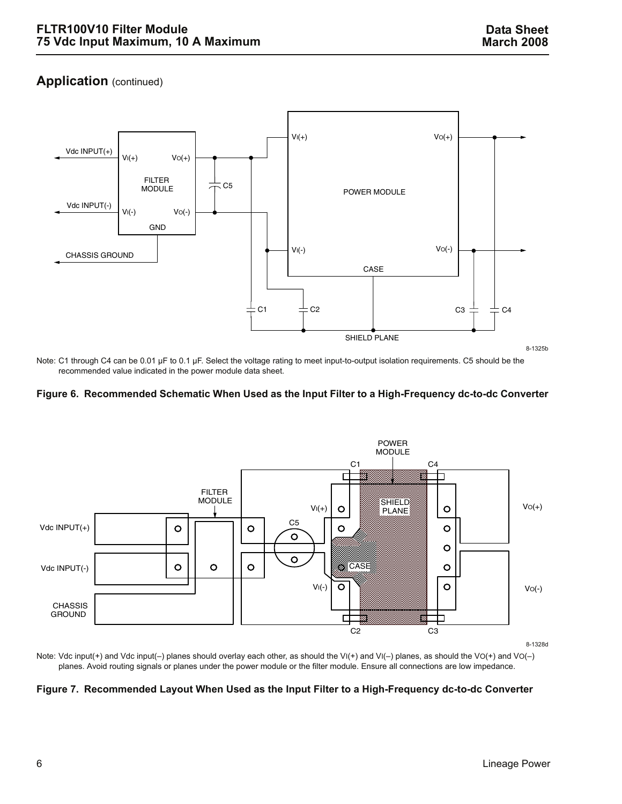#### **Application** (continued)



Note: C1 through C4 can be 0.01 µF to 0.1 µF. Select the voltage rating to meet input-to-output isolation requirements. C5 should be the recommended value indicated in the power module data sheet.

#### <span id="page-5-0"></span>**Figure 6. Recommended Schematic When Used as the Input Filter to a High-Frequency dc-to-dc Converter**



Note: Vdc input(+) and Vdc input(–) planes should overlay each other, as should the VI(+) and VI(–) planes, as should the VO(+) and VO(–) planes. Avoid routing signals or planes under the power module or the filter module. Ensure all connections are low impedance.

#### <span id="page-5-1"></span>**Figure 7. Recommended Layout When Used as the Input Filter to a High-Frequency dc-to-dc Converter**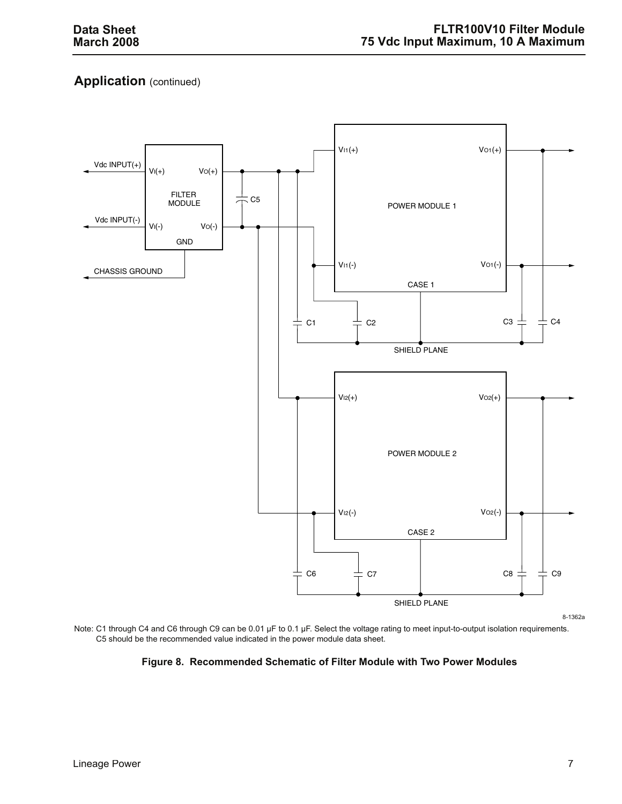## **Application** (continued)



8-1362a

<span id="page-6-0"></span>Note: C1 through C4 and C6 through C9 can be 0.01 µF to 0.1 µF. Select the voltage rating to meet input-to-output isolation requirements. C5 should be the recommended value indicated in the power module data sheet.

#### **Figure 8. Recommended Schematic of Filter Module with Two Power Modules**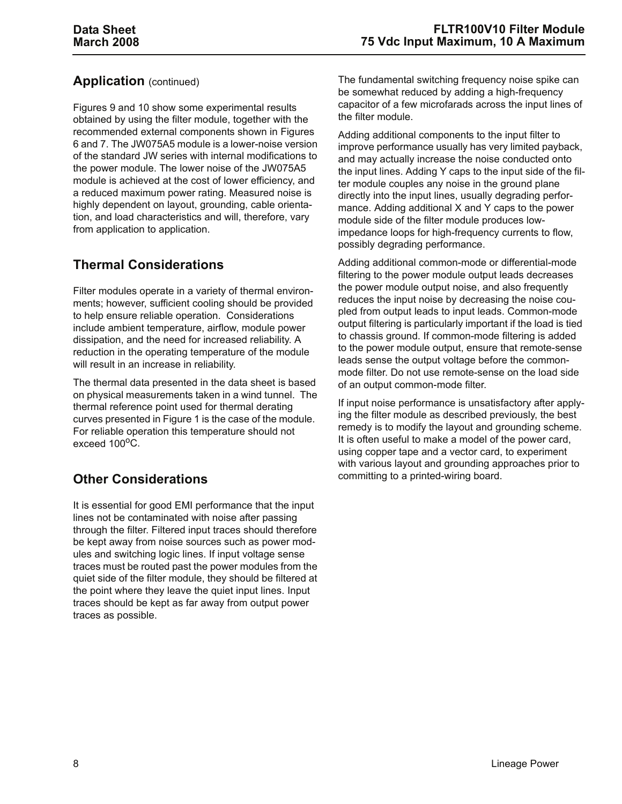### **Application** (continued)

Figures [9](#page-8-0) and [10](#page-8-1) show some experimental results obtained by using the filter module, together with the recommended external components shown in Figures [6](#page-5-0) and [7](#page-5-1). The JW075A5 module is a lower-noise version of the standard JW series with internal modifications to the power module. The lower noise of the JW075A5 module is achieved at the cost of lower efficiency, and a reduced maximum power rating. Measured noise is highly dependent on layout, grounding, cable orientation, and load characteristics and will, therefore, vary from application to application.

## **Thermal Considerations**

Filter modules operate in a variety of thermal environments; however, sufficient cooling should be provided to help ensure reliable operation. Considerations include ambient temperature, airflow, module power dissipation, and the need for increased reliability. A reduction in the operating temperature of the module will result in an increase in reliability.

The thermal data presented in the data sheet is based on physical measurements taken in a wind tunnel. The thermal reference point used for thermal derating curves presented in Figure 1 is the case of the module. For reliable operation this temperature should not exceed  $100^{\circ}$ C.

## **Other Considerations**

It is essential for good EMI performance that the input lines not be contaminated with noise after passing through the filter. Filtered input traces should therefore be kept away from noise sources such as power modules and switching logic lines. If input voltage sense traces must be routed past the power modules from the quiet side of the filter module, they should be filtered at the point where they leave the quiet input lines. Input traces should be kept as far away from output power traces as possible.

The fundamental switching frequency noise spike can be somewhat reduced by adding a high-frequency capacitor of a few microfarads across the input lines of the filter module.

Adding additional components to the input filter to improve performance usually has very limited payback, and may actually increase the noise conducted onto the input lines. Adding Y caps to the input side of the filter module couples any noise in the ground plane directly into the input lines, usually degrading performance. Adding additional X and Y caps to the power module side of the filter module produces lowimpedance loops for high-frequency currents to flow, possibly degrading performance.

Adding additional common-mode or differential-mode filtering to the power module output leads decreases the power module output noise, and also frequently reduces the input noise by decreasing the noise coupled from output leads to input leads. Common-mode output filtering is particularly important if the load is tied to chassis ground. If common-mode filtering is added to the power module output, ensure that remote-sense leads sense the output voltage before the commonmode filter. Do not use remote-sense on the load side of an output common-mode filter.

If input noise performance is unsatisfactory after applying the filter module as described previously, the best remedy is to modify the layout and grounding scheme. It is often useful to make a model of the power card, using copper tape and a vector card, to experiment with various layout and grounding approaches prior to committing to a printed-wiring board.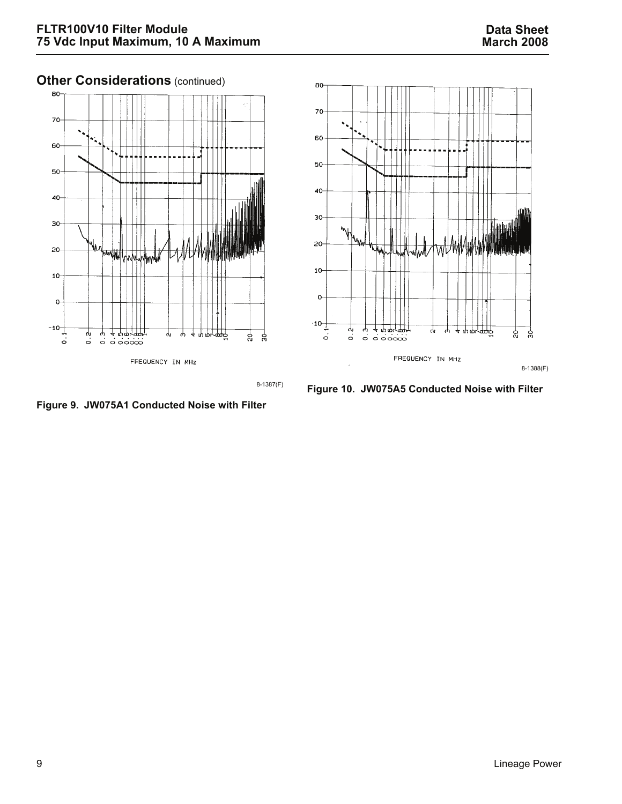8-1388(F)

င္က

ပ္ပ

#### **Other Considerations** (continued) 80 80 70 70 60 60 50 50  $40 -$ 40  $30<sub>1</sub>$ 30 Why 20  $20<sub>o</sub>$ ₩Ш انانا 10  $10<sub>1</sub>$  $\mathbf{o}$  $\mathbf{o}$  $10^{-1}$

FREQUENCY IN MHZ

φ Ψ. <u> 4 ጥጥተሞ</u>

8-1387(F)

မို ္က

<span id="page-8-1"></span>**Figure 10. JW075A5 Conducted Noise with Filter**

FREQUENCY IN MHZ

φ

Ψ,

φ φ

 $\overline{a}$ 

 $\ddot{\circ}$ 

ահահ

 $\circ$   $\circ$   $\circ$   $\circ$   $\circ$ 

4

<span id="page-8-0"></span>**Figure 9. JW075A1 Conducted Noise with Filter**

 $-10$ 

 $\dot{\circ}$ 

 $\ddot{q}$ ტ

 $\dot{\circ}$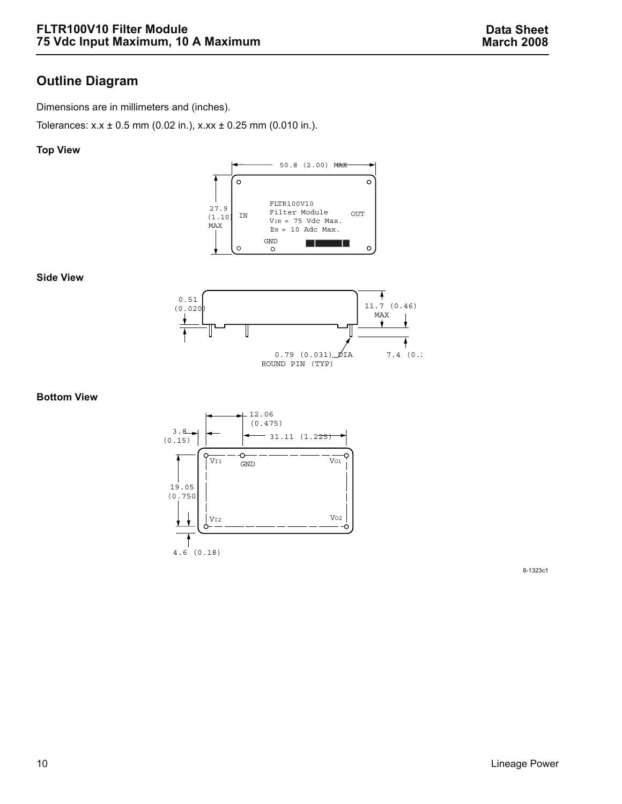## **Outline Diagram**

Dimensions are in millimeters and (inches).

Tolerances:  $x.x \pm 0.5$  mm (0.02 in.),  $x.x \pm 0.25$  mm (0.010 in.).

#### **Top View**



**Side View**



#### **Bottom View**



8-1323c1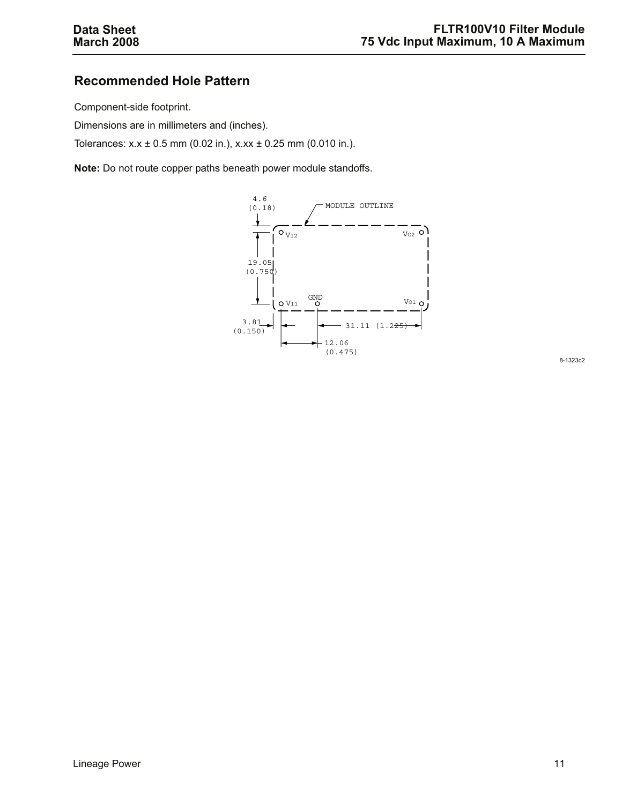## **Recommended Hole Pattern**

Component-side footprint.

Dimensions are in millimeters and (inches).

Tolerances:  $x.x \pm 0.5$  mm (0.02 in.),  $x.x \pm 0.25$  mm (0.010 in.).

**Note:** Do not route copper paths beneath power module standoffs.



8-1323c2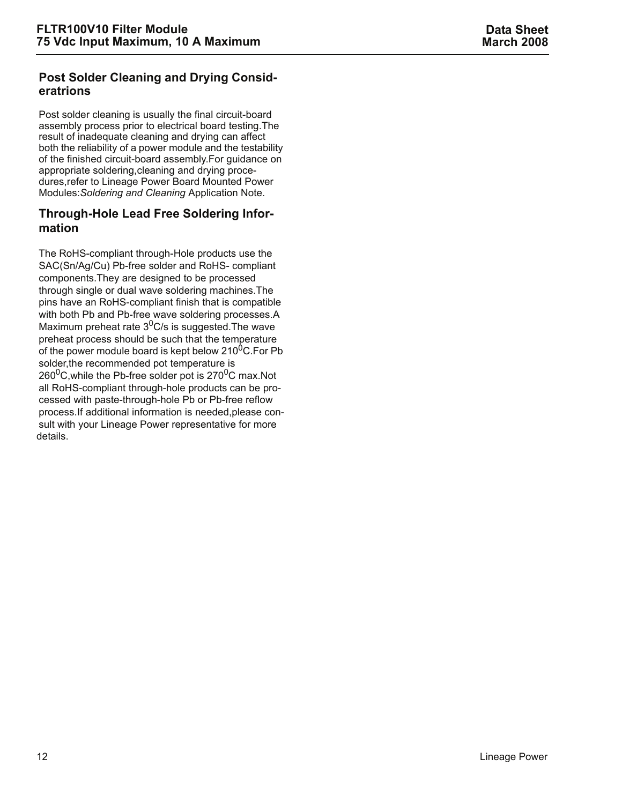#### **Post Solder Cleaning and Drying Consideratrions**

Post solder cleaning is usually the final circuit-board assembly process prior to electrical board testing.The result of inadequate cleaning and drying can affect both the reliability of a power module and the testability of the finished circuit-board assembly.For guidance on appropriate soldering,cleaning and drying procedures,refer to Lineage Power Board Mounted Power Modules:*Soldering and Cleaning* Application Note.

#### **Through-Hole Lead Free Soldering Information**

The RoHS-compliant through-Hole products use the SAC(Sn/Ag/Cu) Pb-free solder and RoHS- compliant components.They are designed to be processed through single or dual wave soldering machines.The pins have an RoHS-compliant finish that is compatible with both Pb and Pb-free wave soldering processes.A Maximum preheat rate  $3^0$ C/s is suggested. The wave preheat process should be such that the temperature of the power module board is kept below  $210^{0}$ C. For Pb solder,the recommended pot temperature is  $260^0$ C, while the Pb-free solder pot is 270<sup>0</sup>C max. Not all RoHS-compliant through-hole products can be processed with paste-through-hole Pb or Pb-free reflow process.If additional information is needed,please consult with your Lineage Power representative for more details.